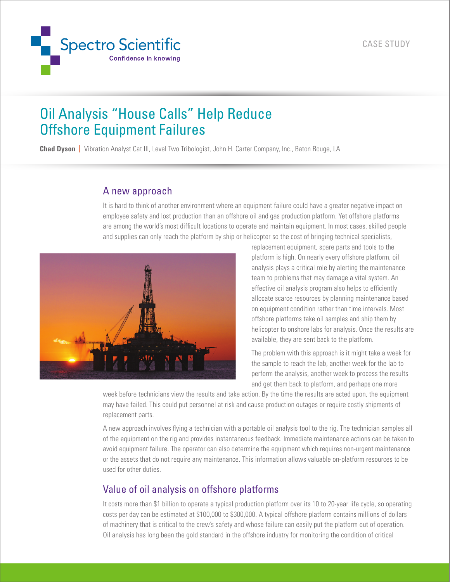

# Oil Analysis "House Calls" Help Reduce Offshore Equipment Failures

**Chad Dyson |** Vibration Analyst Cat III, Level Two Tribologist, John H. Carter Company, Inc., Baton Rouge, LA

## A new approach

It is hard to think of another environment where an equipment failure could have a greater negative impact on employee safety and lost production than an offshore oil and gas production platform. Yet offshore platforms are among the world's most difficult locations to operate and maintain equipment. In most cases, skilled people and supplies can only reach the platform by ship or helicopter so the cost of bringing technical specialists,



replacement equipment, spare parts and tools to the platform is high. On nearly every offshore platform, oil analysis plays a critical role by alerting the maintenance team to problems that may damage a vital system. An effective oil analysis program also helps to efficiently allocate scarce resources by planning maintenance based on equipment condition rather than time intervals. Most offshore platforms take oil samples and ship them by helicopter to onshore labs for analysis. Once the results are available, they are sent back to the platform.

The problem with this approach is it might take a week for the sample to reach the lab, another week for the lab to perform the analysis, another week to process the results and get them back to platform, and perhaps one more

week before technicians view the results and take action. By the time the results are acted upon, the equipment may have failed. This could put personnel at risk and cause production outages or require costly shipments of replacement parts.

A new approach involves flying a technician with a portable oil analysis tool to the rig. The technician samples all of the equipment on the rig and provides instantaneous feedback. Immediate maintenance actions can be taken to avoid equipment failure. The operator can also determine the equipment which requires non-urgent maintenance or the assets that do not require any maintenance. This information allows valuable on-platform resources to be used for other duties.

# Value of oil analysis on offshore platforms

It costs more than \$1 billion to operate a typical production platform over its 10 to 20-year life cycle, so operating costs per day can be estimated at \$100,000 to \$300,000. A typical offshore platform contains millions of dollars of machinery that is critical to the crew's safety and whose failure can easily put the platform out of operation. Oil analysis has long been the gold standard in the offshore industry for monitoring the condition of critical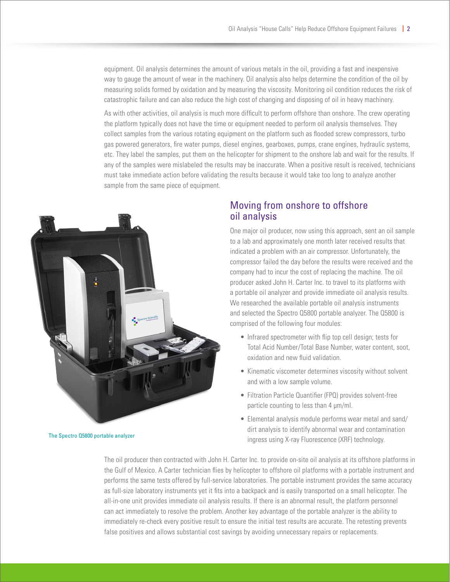equipment. Oil analysis determines the amount of various metals in the oil, providing a fast and inexpensive way to gauge the amount of wear in the machinery. Oil analysis also helps determine the condition of the oil by measuring solids formed by oxidation and by measuring the viscosity. Monitoring oil condition reduces the risk of catastrophic failure and can also reduce the high cost of changing and disposing of oil in heavy machinery.

As with other activities, oil analysis is much more difficult to perform offshore than onshore. The crew operating the platform typically does not have the time or equipment needed to perform oil analysis themselves. They collect samples from the various rotating equipment on the platform such as flooded screw compressors, turbo gas powered generators, fire water pumps, diesel engines, gearboxes, pumps, crane engines, hydraulic systems, etc. They label the samples, put them on the helicopter for shipment to the onshore lab and wait for the results. If any of the samples were mislabeled the results may be inaccurate. When a positive result is received, technicians must take immediate action before validating the results because it would take too long to analyze another sample from the same piece of equipment.



### Moving from onshore to offshore oil analysis

One major oil producer, now using this approach, sent an oil sample to a lab and approximately one month later received results that indicated a problem with an air compressor. Unfortunately, the compressor failed the day before the results were received and the company had to incur the cost of replacing the machine. The oil producer asked John H. Carter Inc. to travel to its platforms with a portable oil analyzer and provide immediate oil analysis results. We researched the available portable oil analysis instruments and selected the Spectro Q5800 portable analyzer. The Q5800 is comprised of the following four modules:

- Infrared spectrometer with flip top cell design; tests for Total Acid Number/Total Base Number, water content, soot, oxidation and new fluid validation.
- Kinematic viscometer determines viscosity without solvent and with a low sample volume.
- Filtration Particle Quantifier (FPQ) provides solvent-free particle counting to less than 4 µm/ml.
- Elemental analysis module performs wear metal and sand/ dirt analysis to identify abnormal wear and contamination ingress using X-ray Fluorescence (XRF) technology.

The oil producer then contracted with John H. Carter Inc. to provide on-site oil analysis at its offshore platforms in the Gulf of Mexico. A Carter technician flies by helicopter to offshore oil platforms with a portable instrument and performs the same tests offered by full-service laboratories. The portable instrument provides the same accuracy as full-size laboratory instruments yet it fits into a backpack and is easily transported on a small helicopter. The all-in-one unit provides immediate oil analysis results. If there is an abnormal result, the platform personnel can act immediately to resolve the problem. Another key advantage of the portable analyzer is the ability to immediately re-check every positive result to ensure the initial test results are accurate. The retesting prevents false positives and allows substantial cost savings by avoiding unnecessary repairs or replacements.

The Spectro Q5800 portable analyzer